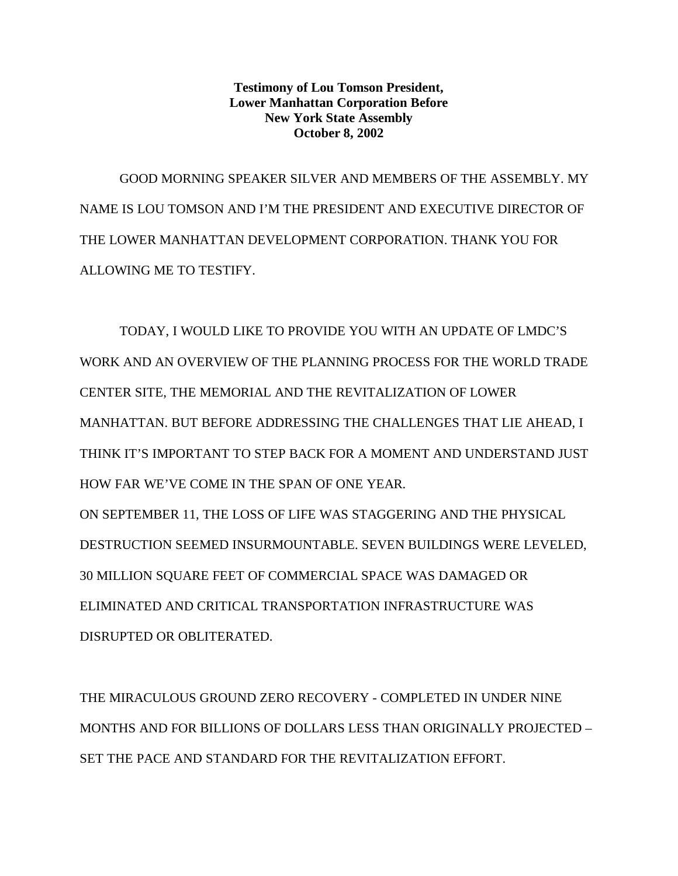**Testimony of Lou Tomson President, Lower Manhattan Corporation Before New York State Assembly October 8, 2002**

GOOD MORNING SPEAKER SILVER AND MEMBERS OF THE ASSEMBLY. MY NAME IS LOU TOMSON AND I'M THE PRESIDENT AND EXECUTIVE DIRECTOR OF THE LOWER MANHATTAN DEVELOPMENT CORPORATION. THANK YOU FOR ALLOWING ME TO TESTIFY.

TODAY, I WOULD LIKE TO PROVIDE YOU WITH AN UPDATE OF LMDC'S WORK AND AN OVERVIEW OF THE PLANNING PROCESS FOR THE WORLD TRADE CENTER SITE, THE MEMORIAL AND THE REVITALIZATION OF LOWER MANHATTAN. BUT BEFORE ADDRESSING THE CHALLENGES THAT LIE AHEAD, I THINK IT'S IMPORTANT TO STEP BACK FOR A MOMENT AND UNDERSTAND JUST HOW FAR WE'VE COME IN THE SPAN OF ONE YEAR. ON SEPTEMBER 11, THE LOSS OF LIFE WAS STAGGERING AND THE PHYSICAL DESTRUCTION SEEMED INSURMOUNTABLE. SEVEN BUILDINGS WERE LEVELED, 30 MILLION SQUARE FEET OF COMMERCIAL SPACE WAS DAMAGED OR ELIMINATED AND CRITICAL TRANSPORTATION INFRASTRUCTURE WAS DISRUPTED OR OBLITERATED.

THE MIRACULOUS GROUND ZERO RECOVERY - COMPLETED IN UNDER NINE MONTHS AND FOR BILLIONS OF DOLLARS LESS THAN ORIGINALLY PROJECTED – SET THE PACE AND STANDARD FOR THE REVITALIZATION EFFORT.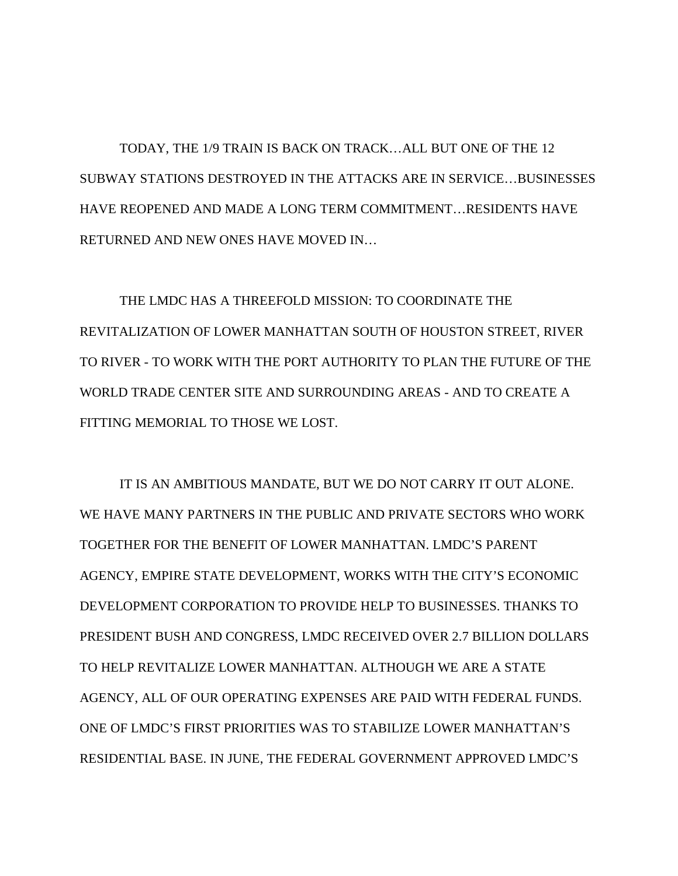TODAY, THE 1/9 TRAIN IS BACK ON TRACK… ALL BUT ONE OF THE 12 SUBWAY STATIONS DESTROYED IN THE ATTACKS ARE IN SERVICE… BUSINESSES HAVE REOPENED AND MADE A LONG TERM COMMITMENT… RESIDENTS HAVE RETURNED AND NEW ONES HAVE MOVED IN…

THE LMDC HAS A THREEFOLD MISSION: TO COORDINATE THE REVITALIZATION OF LOWER MANHATTAN SOUTH OF HOUSTON STREET, RIVER TO RIVER - TO WORK WITH THE PORT AUTHORITY TO PLAN THE FUTURE OF THE WORLD TRADE CENTER SITE AND SURROUNDING AREAS - AND TO CREATE A FITTING MEMORIAL TO THOSE WE LOST.

IT IS AN AMBITIOUS MANDATE, BUT WE DO NOT CARRY IT OUT ALONE. WE HAVE MANY PARTNERS IN THE PUBLIC AND PRIVATE SECTORS WHO WORK TOGETHER FOR THE BENEFIT OF LOWER MANHATTAN. LMDC'S PARENT AGENCY, EMPIRE STATE DEVELOPMENT, WORKS WITH THE CITY'S ECONOMIC DEVELOPMENT CORPORATION TO PROVIDE HELP TO BUSINESSES. THANKS TO PRESIDENT BUSH AND CONGRESS, LMDC RECEIVED OVER 2.7 BILLION DOLLARS TO HELP REVITALIZE LOWER MANHATTAN. ALTHOUGH WE ARE A STATE AGENCY, ALL OF OUR OPERATING EXPENSES ARE PAID WITH FEDERAL FUNDS. ONE OF LMDC'S FIRST PRIORITIES WAS TO STABILIZE LOWER MANHATTAN'S RESIDENTIAL BASE. IN JUNE, THE FEDERAL GOVERNMENT APPROVED LMDC'S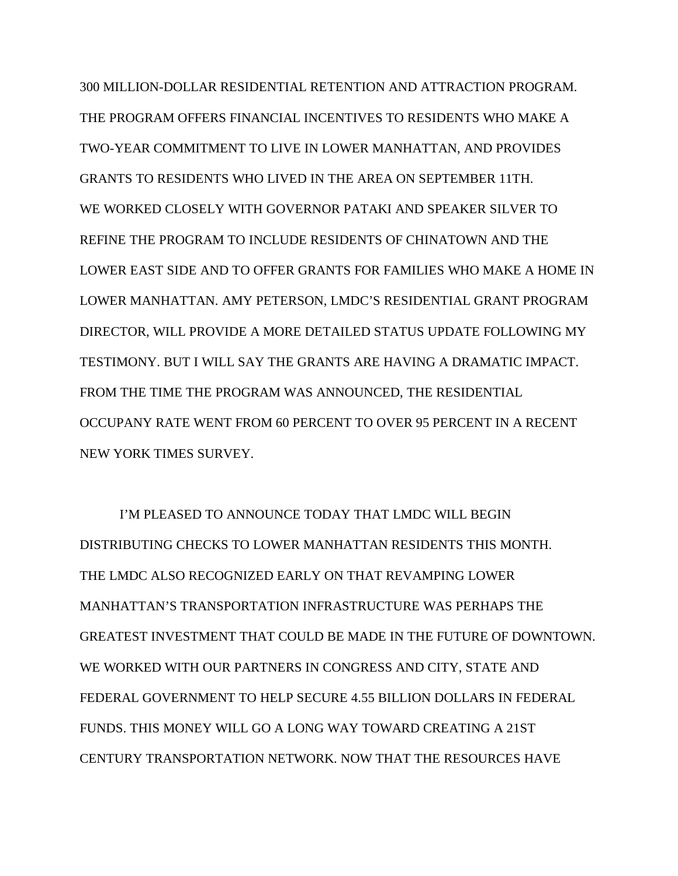300 MILLION-DOLLAR RESIDENTIAL RETENTION AND ATTRACTION PROGRAM. THE PROGRAM OFFERS FINANCIAL INCENTIVES TO RESIDENTS WHO MAKE A TWO-YEAR COMMITMENT TO LIVE IN LOWER MANHATTAN, AND PROVIDES GRANTS TO RESIDENTS WHO LIVED IN THE AREA ON SEPTEMBER 11TH. WE WORKED CLOSELY WITH GOVERNOR PATAKI AND SPEAKER SILVER TO REFINE THE PROGRAM TO INCLUDE RESIDENTS OF CHINATOWN AND THE LOWER EAST SIDE AND TO OFFER GRANTS FOR FAMILIES WHO MAKE A HOME IN LOWER MANHATTAN. AMY PETERSON, LMDC'S RESIDENTIAL GRANT PROGRAM DIRECTOR, WILL PROVIDE A MORE DETAILED STATUS UPDATE FOLLOWING MY TESTIMONY. BUT I WILL SAY THE GRANTS ARE HAVING A DRAMATIC IMPACT. FROM THE TIME THE PROGRAM WAS ANNOUNCED, THE RESIDENTIAL OCCUPANY RATE WENT FROM 60 PERCENT TO OVER 95 PERCENT IN A RECENT NEW YORK TIMES SURVEY.

I'M PLEASED TO ANNOUNCE TODAY THAT LMDC WILL BEGIN DISTRIBUTING CHECKS TO LOWER MANHATTAN RESIDENTS THIS MONTH. THE LMDC ALSO RECOGNIZED EARLY ON THAT REVAMPING LOWER MANHATTAN'S TRANSPORTATION INFRASTRUCTURE WAS PERHAPS THE GREATEST INVESTMENT THAT COULD BE MADE IN THE FUTURE OF DOWNTOWN. WE WORKED WITH OUR PARTNERS IN CONGRESS AND CITY, STATE AND FEDERAL GOVERNMENT TO HELP SECURE 4.55 BILLION DOLLARS IN FEDERAL FUNDS. THIS MONEY WILL GO A LONG WAY TOWARD CREATING A 21ST CENTURY TRANSPORTATION NETWORK. NOW THAT THE RESOURCES HAVE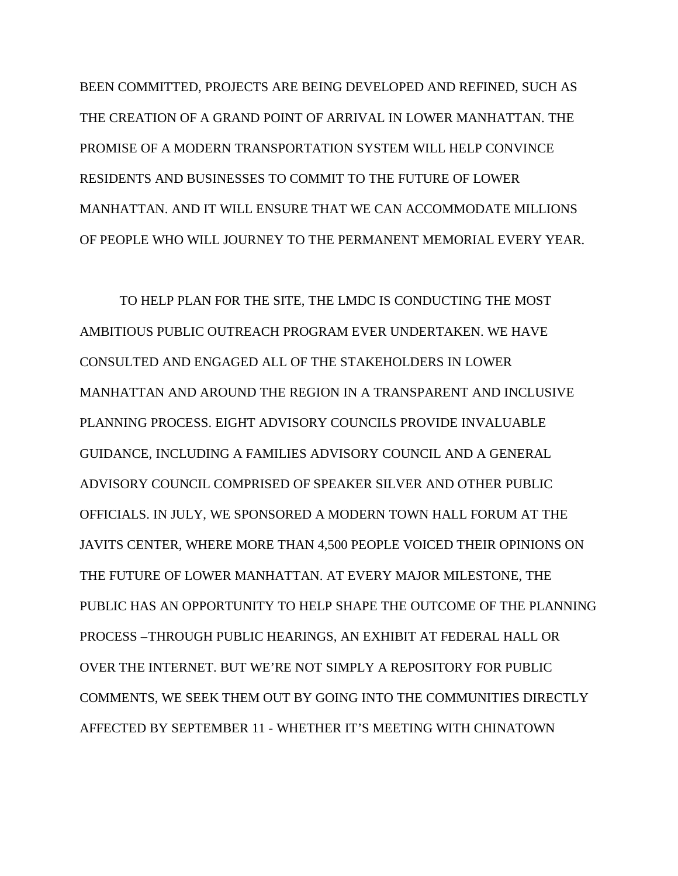BEEN COMMITTED, PROJECTS ARE BEING DEVELOPED AND REFINED, SUCH AS THE CREATION OF A GRAND POINT OF ARRIVAL IN LOWER MANHATTAN. THE PROMISE OF A MODERN TRANSPORTATION SYSTEM WILL HELP CONVINCE RESIDENTS AND BUSINESSES TO COMMIT TO THE FUTURE OF LOWER MANHATTAN. AND IT WILL ENSURE THAT WE CAN ACCOMMODATE MILLIONS OF PEOPLE WHO WILL JOURNEY TO THE PERMANENT MEMORIAL EVERY YEAR.

TO HELP PLAN FOR THE SITE, THE LMDC IS CONDUCTING THE MOST AMBITIOUS PUBLIC OUTREACH PROGRAM EVER UNDERTAKEN. WE HAVE CONSULTED AND ENGAGED ALL OF THE STAKEHOLDERS IN LOWER MANHATTAN AND AROUND THE REGION IN A TRANSPARENT AND INCLUSIVE PLANNING PROCESS. EIGHT ADVISORY COUNCILS PROVIDE INVALUABLE GUIDANCE, INCLUDING A FAMILIES ADVISORY COUNCIL AND A GENERAL ADVISORY COUNCIL COMPRISED OF SPEAKER SILVER AND OTHER PUBLIC OFFICIALS. IN JULY, WE SPONSORED A MODERN TOWN HALL FORUM AT THE JAVITS CENTER, WHERE MORE THAN 4,500 PEOPLE VOICED THEIR OPINIONS ON THE FUTURE OF LOWER MANHATTAN. AT EVERY MAJOR MILESTONE, THE PUBLIC HAS AN OPPORTUNITY TO HELP SHAPE THE OUTCOME OF THE PLANNING PROCESS –THROUGH PUBLIC HEARINGS, AN EXHIBIT AT FEDERAL HALL OR OVER THE INTERNET. BUT WE'RE NOT SIMPLY A REPOSITORY FOR PUBLIC COMMENTS, WE SEEK THEM OUT BY GOING INTO THE COMMUNITIES DIRECTLY AFFECTED BY SEPTEMBER 11 - WHETHER IT'S MEETING WITH CHINATOWN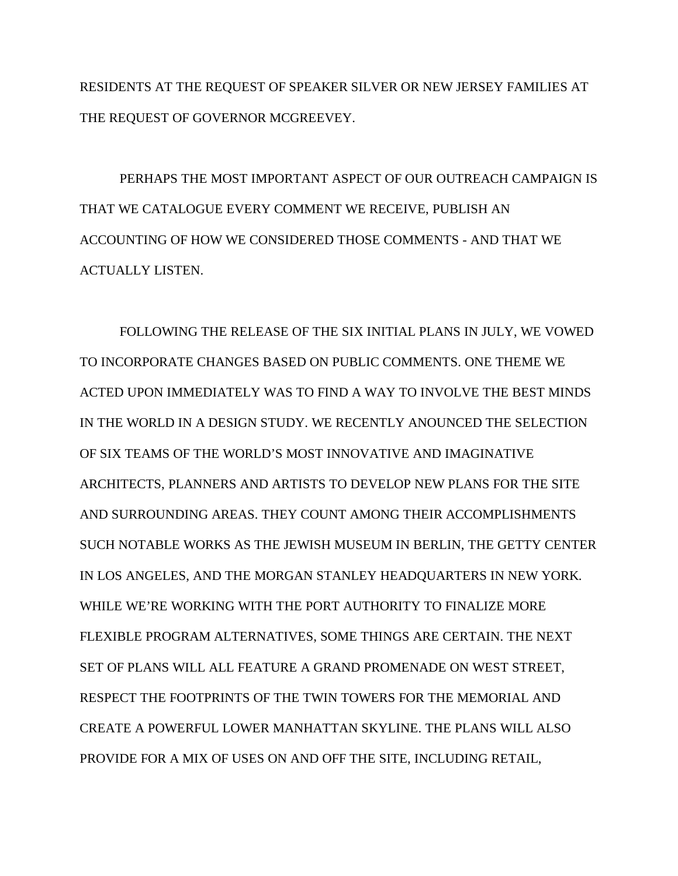RESIDENTS AT THE REQUEST OF SPEAKER SILVER OR NEW JERSEY FAMILIES AT THE REQUEST OF GOVERNOR MCGREEVEY.

PERHAPS THE MOST IMPORTANT ASPECT OF OUR OUTREACH CAMPAIGN IS THAT WE CATALOGUE EVERY COMMENT WE RECEIVE, PUBLISH AN ACCOUNTING OF HOW WE CONSIDERED THOSE COMMENTS - AND THAT WE ACTUALLY LISTEN.

FOLLOWING THE RELEASE OF THE SIX INITIAL PLANS IN JULY, WE VOWED TO INCORPORATE CHANGES BASED ON PUBLIC COMMENTS. ONE THEME WE ACTED UPON IMMEDIATELY WAS TO FIND A WAY TO INVOLVE THE BEST MINDS IN THE WORLD IN A DESIGN STUDY. WE RECENTLY ANOUNCED THE SELECTION OF SIX TEAMS OF THE WORLD'S MOST INNOVATIVE AND IMAGINATIVE ARCHITECTS, PLANNERS AND ARTISTS TO DEVELOP NEW PLANS FOR THE SITE AND SURROUNDING AREAS. THEY COUNT AMONG THEIR ACCOMPLISHMENTS SUCH NOTABLE WORKS AS THE JEWISH MUSEUM IN BERLIN, THE GETTY CENTER IN LOS ANGELES, AND THE MORGAN STANLEY HEADQUARTERS IN NEW YORK. WHILE WE'RE WORKING WITH THE PORT AUTHORITY TO FINALIZE MORE FLEXIBLE PROGRAM ALTERNATIVES, SOME THINGS ARE CERTAIN. THE NEXT SET OF PLANS WILL ALL FEATURE A GRAND PROMENADE ON WEST STREET, RESPECT THE FOOTPRINTS OF THE TWIN TOWERS FOR THE MEMORIAL AND CREATE A POWERFUL LOWER MANHATTAN SKYLINE. THE PLANS WILL ALSO PROVIDE FOR A MIX OF USES ON AND OFF THE SITE, INCLUDING RETAIL,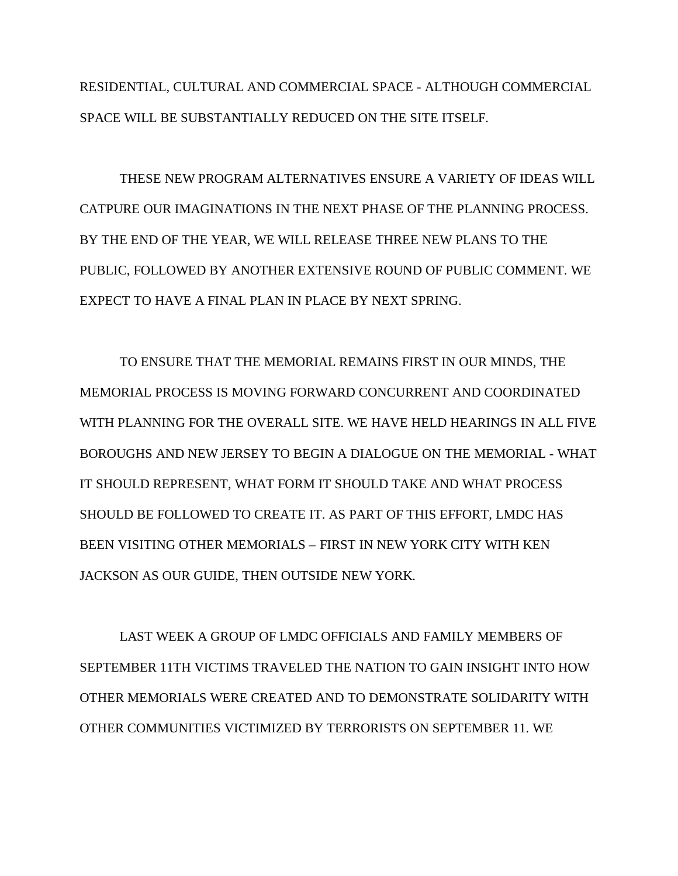RESIDENTIAL, CULTURAL AND COMMERCIAL SPACE - ALTHOUGH COMMERCIAL SPACE WILL BE SUBSTANTIALLY REDUCED ON THE SITE ITSELF.

THESE NEW PROGRAM ALTERNATIVES ENSURE A VARIETY OF IDEAS WILL CATPURE OUR IMAGINATIONS IN THE NEXT PHASE OF THE PLANNING PROCESS. BY THE END OF THE YEAR, WE WILL RELEASE THREE NEW PLANS TO THE PUBLIC, FOLLOWED BY ANOTHER EXTENSIVE ROUND OF PUBLIC COMMENT. WE EXPECT TO HAVE A FINAL PLAN IN PLACE BY NEXT SPRING.

TO ENSURE THAT THE MEMORIAL REMAINS FIRST IN OUR MINDS, THE MEMORIAL PROCESS IS MOVING FORWARD CONCURRENT AND COORDINATED WITH PLANNING FOR THE OVERALL SITE. WE HAVE HELD HEARINGS IN ALL FIVE BOROUGHS AND NEW JERSEY TO BEGIN A DIALOGUE ON THE MEMORIAL - WHAT IT SHOULD REPRESENT, WHAT FORM IT SHOULD TAKE AND WHAT PROCESS SHOULD BE FOLLOWED TO CREATE IT. AS PART OF THIS EFFORT, LMDC HAS BEEN VISITING OTHER MEMORIALS – FIRST IN NEW YORK CITY WITH KEN JACKSON AS OUR GUIDE, THEN OUTSIDE NEW YORK.

LAST WEEK A GROUP OF LMDC OFFICIALS AND FAMILY MEMBERS OF SEPTEMBER 11TH VICTIMS TRAVELED THE NATION TO GAIN INSIGHT INTO HOW OTHER MEMORIALS WERE CREATED AND TO DEMONSTRATE SOLIDARITY WITH OTHER COMMUNITIES VICTIMIZED BY TERRORISTS ON SEPTEMBER 11. WE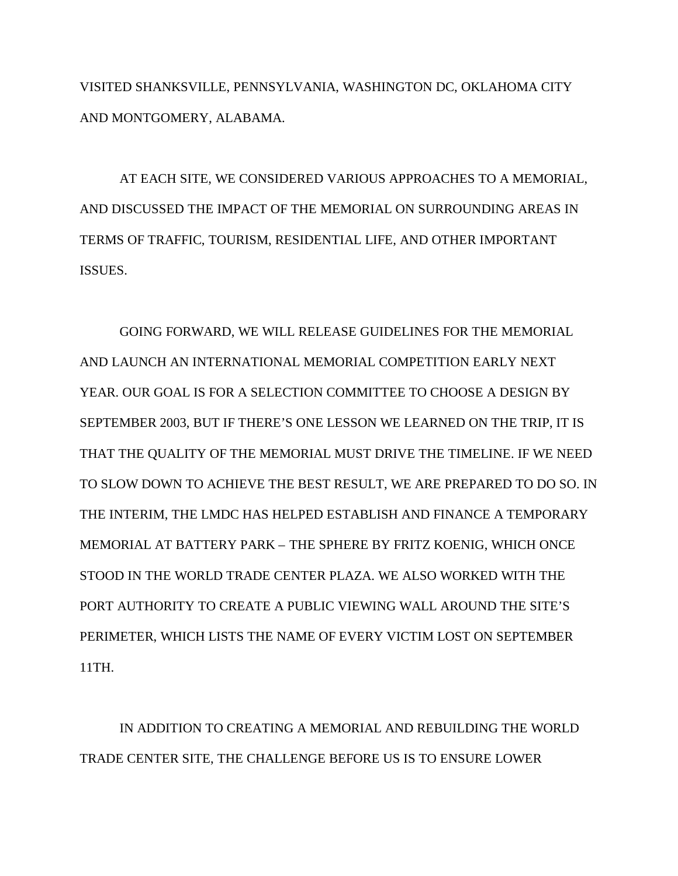VISITED SHANKSVILLE, PENNSYLVANIA, WASHINGTON DC, OKLAHOMA CITY AND MONTGOMERY, ALABAMA.

AT EACH SITE, WE CONSIDERED VARIOUS APPROACHES TO A MEMORIAL, AND DISCUSSED THE IMPACT OF THE MEMORIAL ON SURROUNDING AREAS IN TERMS OF TRAFFIC, TOURISM, RESIDENTIAL LIFE, AND OTHER IMPORTANT ISSUES.

GOING FORWARD, WE WILL RELEASE GUIDELINES FOR THE MEMORIAL AND LAUNCH AN INTERNATIONAL MEMORIAL COMPETITION EARLY NEXT YEAR. OUR GOAL IS FOR A SELECTION COMMITTEE TO CHOOSE A DESIGN BY SEPTEMBER 2003, BUT IF THERE'S ONE LESSON WE LEARNED ON THE TRIP, IT IS THAT THE QUALITY OF THE MEMORIAL MUST DRIVE THE TIMELINE. IF WE NEED TO SLOW DOWN TO ACHIEVE THE BEST RESULT, WE ARE PREPARED TO DO SO. IN THE INTERIM, THE LMDC HAS HELPED ESTABLISH AND FINANCE A TEMPORARY MEMORIAL AT BATTERY PARK – THE SPHERE BY FRITZ KOENIG, WHICH ONCE STOOD IN THE WORLD TRADE CENTER PLAZA. WE ALSO WORKED WITH THE PORT AUTHORITY TO CREATE A PUBLIC VIEWING WALL AROUND THE SITE'S PERIMETER, WHICH LISTS THE NAME OF EVERY VICTIM LOST ON SEPTEMBER 11TH.

IN ADDITION TO CREATING A MEMORIAL AND REBUILDING THE WORLD TRADE CENTER SITE, THE CHALLENGE BEFORE US IS TO ENSURE LOWER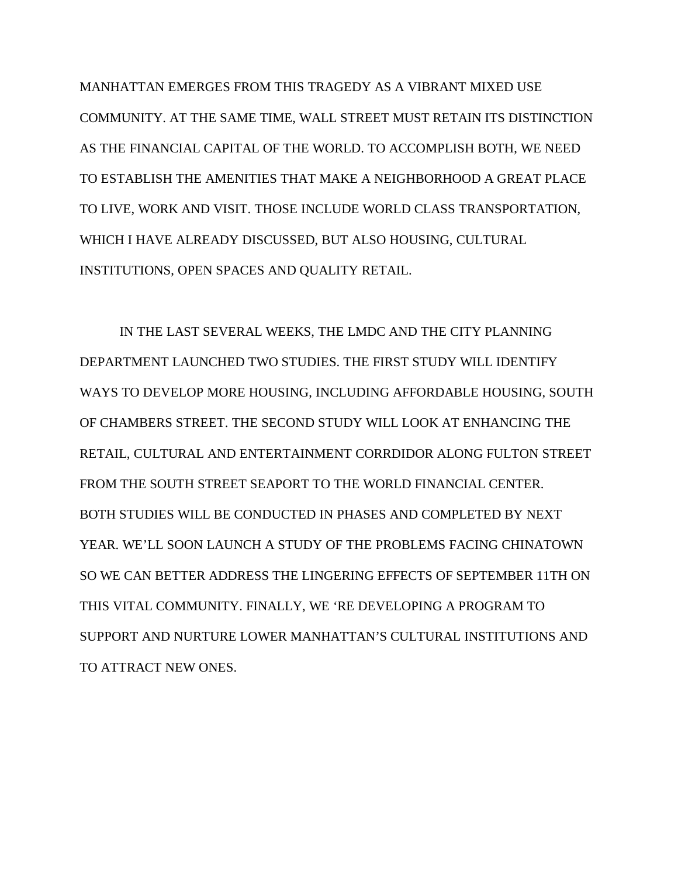MANHATTAN EMERGES FROM THIS TRAGEDY AS A VIBRANT MIXED USE COMMUNITY. AT THE SAME TIME, WALL STREET MUST RETAIN ITS DISTINCTION AS THE FINANCIAL CAPITAL OF THE WORLD. TO ACCOMPLISH BOTH, WE NEED TO ESTABLISH THE AMENITIES THAT MAKE A NEIGHBORHOOD A GREAT PLACE TO LIVE, WORK AND VISIT. THOSE INCLUDE WORLD CLASS TRANSPORTATION, WHICH I HAVE ALREADY DISCUSSED, BUT ALSO HOUSING, CULTURAL INSTITUTIONS, OPEN SPACES AND QUALITY RETAIL.

IN THE LAST SEVERAL WEEKS, THE LMDC AND THE CITY PLANNING DEPARTMENT LAUNCHED TWO STUDIES. THE FIRST STUDY WILL IDENTIFY WAYS TO DEVELOP MORE HOUSING, INCLUDING AFFORDABLE HOUSING, SOUTH OF CHAMBERS STREET. THE SECOND STUDY WILL LOOK AT ENHANCING THE RETAIL, CULTURAL AND ENTERTAINMENT CORRDIDOR ALONG FULTON STREET FROM THE SOUTH STREET SEAPORT TO THE WORLD FINANCIAL CENTER. BOTH STUDIES WILL BE CONDUCTED IN PHASES AND COMPLETED BY NEXT YEAR. WE'LL SOON LAUNCH A STUDY OF THE PROBLEMS FACING CHINATOWN SO WE CAN BETTER ADDRESS THE LINGERING EFFECTS OF SEPTEMBER 11TH ON THIS VITAL COMMUNITY. FINALLY, WE 'RE DEVELOPING A PROGRAM TO SUPPORT AND NURTURE LOWER MANHATTAN'S CULTURAL INSTITUTIONS AND TO ATTRACT NEW ONES.